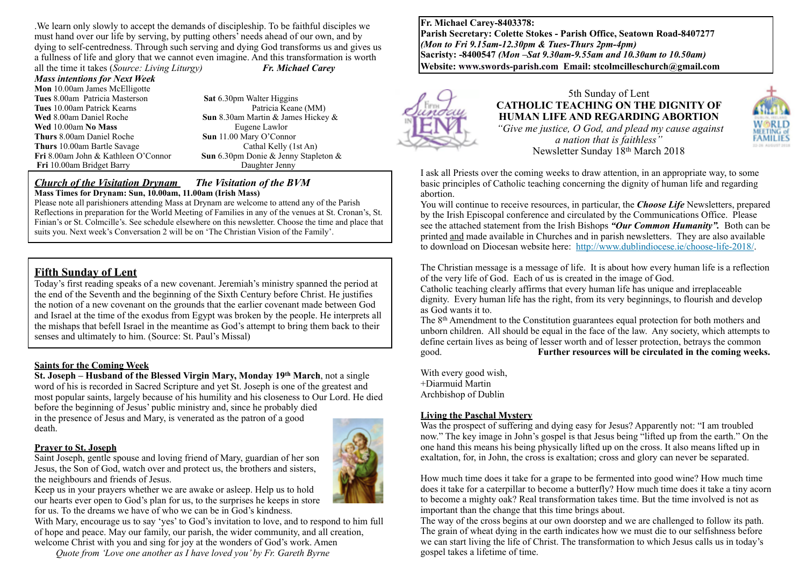.We learn only slowly to accept the demands of discipleship. To be faithful disciples we must hand over our life by serving, by putting others' needs ahead of our own, and by dying to self-centredness. Through such serving and dying God transforms us and gives us a fullness of life and glory that we cannot even imagine. And this transformation is worth all the time it takes (*Source: Living Liturgy) Fr. Michael Carey*

*Mass intentions for Next Week* **Mon** 10.00am James McElligotte **Tues** 8.00am Patricia Masterson **Sat 6.30pm Walter Higgins**<br> **Tues** 10.00am Patrick Kearns<br> **Sat 6.30pm Walter Higgins Tues 10.00am Patrick Kearns Wed** 8.00am Daniel Roche **Sun** 8.30am Martin & James Hickey & **Wed** 10.00am **No Mass** Eugene Lawlor **Thurs** 8.00am Daniel Roche **Sun** 11.00 Mary O'Connor **Thurs** 10.00am Bartle Savage Cathal Kelly (1st An) **Fri** 8.00am John & Kathleen O'Connor **Sun** 6.30pm Donie & Jenny Stapleton & **Fri** 10.00am Bridget Barry Daughter Jenny

#### *Church of the Visitation Drynam**The Visitation of the BVM* **Mass Times for Drynam: Sun, 10.00am, 11.00am (Irish Mass)**

Please note all parishioners attending Mass at Drynam are welcome to attend any of the Parish Reflections in preparation for the World Meeting of Families in any of the venues at St. Cronan's, St. Finian's or St. Colmcille's. See schedule elsewhere on this newsletter. Choose the time and place that suits you. Next week's Conversation 2 will be on 'The Christian Vision of the Family'.

### **Fifth Sunday of Lent**

Today's first reading speaks of a new covenant. Jeremiah's ministry spanned the period at the end of the Seventh and the beginning of the Sixth Century before Christ. He justifies the notion of a new covenant on the grounds that the earlier covenant made between God and Israel at the time of the exodus from Egypt was broken by the people. He interprets all the mishaps that befell Israel in the meantime as God's attempt to bring them back to their senses and ultimately to him. (Source: St. Paul's Missal)

#### **Saints for the Coming Week**

**St. Joseph – Husband of the Blessed Virgin Mary, Monday 19th March**, not a single word of his is recorded in Sacred Scripture and yet St. Joseph is one of the greatest and most popular saints, largely because of his humility and his closeness to Our Lord. He died before the beginning of Jesus' public ministry and, since he probably died in the presence of Jesus and Mary, is venerated as the patron of a good death.

#### **Prayer to St. Joseph**

Saint Joseph, gentle spouse and loving friend of Mary, guardian of her son Jesus, the Son of God, watch over and protect us, the brothers and sisters, the neighbours and friends of Jesus.



Keep us in your prayers whether we are awake or asleep. Help us to hold our hearts ever open to God's plan for us, to the surprises he keeps in store for us. To the dreams we have of who we can be in God's kindness.

With Mary, encourage us to say 'yes' to God's invitation to love, and to respond to him full of hope and peace. May our family, our parish, the wider community, and all creation, welcome Christ with you and sing for joy at the wonders of God's work. Amen

*Quote from 'Love one another as I have loved you' by Fr. Gareth Byrne*

**Fr. Michael Carey-8403378: Parish Secretary: Colette Stokes - Parish Office, Seatown Road-8407277**  *(Mon to Fri 9.15am-12.30pm & Tues-Thurs 2pm-4pm)*  **Sacristy: -8400547** *(Mon –Sat 9.30am-9.55am and 10.30am to 10.50am)* **Website: [www.swords-parish.com Email:](http://www.swords-parish.com%20%20email) stcolmcilleschurch@gmail.com**



5th Sunday of Lent **CATHOLIC TEACHING ON THE DIGNITY OF HUMAN LIFE AND REGARDING ABORTION**   *"Give me justice, O God, and plead my cause against a nation that is faithless"*  Newsletter Sunday 18th March 2018

I ask all Priests over the coming weeks to draw attention, in an appropriate way, to some basic principles of Catholic teaching concerning the dignity of human life and regarding abortion.

You will continue to receive resources, in particular, the *Choose Life* Newsletters, prepared by the Irish Episcopal conference and circulated by the Communications Office. Please see the attached statement from the Irish Bishops *"Our Common Humanity".*Both can be printed and made available in Churches and in parish newsletters. They are also available to download on Diocesan website here: [http://www.dublindiocese.ie/choose-life-2018/.](http://www.dublindiocese.ie/choose-life-2018/%22%20%5Ct%20%22_blank)

The Christian message is a message of life. It is about how every human life is a reflection of the very life of God. Each of us is created in the image of God.

Catholic teaching clearly affirms that every human life has unique and irreplaceable dignity. Every human life has the right, from its very beginnings, to flourish and develop as God wants it to.

The 8<sup>th</sup> Amendment to the Constitution guarantees equal protection for both mothers and unborn children. All should be equal in the face of the law. Any society, which attempts to define certain lives as being of lesser worth and of lesser protection, betrays the common good. **Further resources will be circulated in the coming weeks.**

With every good wish, +Diarmuid Martin Archbishop of Dublin

#### **Living the Paschal Mystery**

Was the prospect of suffering and dying easy for Jesus? Apparently not: "I am troubled now." The key image in John's gospel is that Jesus being "lifted up from the earth." On the one hand this means his being physically lifted up on the cross. It also means lifted up in exaltation, for, in John, the cross is exaltation; cross and glory can never be separated.

How much time does it take for a grape to be fermented into good wine? How much time does it take for a caterpillar to become a butterfly? How much time does it take a tiny acorn to become a mighty oak? Real transformation takes time. But the time involved is not as important than the change that this time brings about.

The way of the cross begins at our own doorstep and we are challenged to follow its path. The grain of wheat dying in the earth indicates how we must die to our selfishness before we can start living the life of Christ. The transformation to which Jesus calls us in today's gospel takes a lifetime of time.